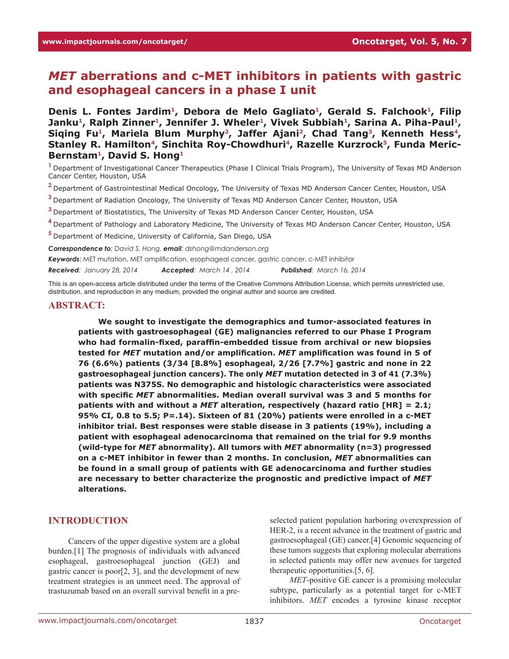# *MET* **aberrations and c-MET inhibitors in patients with gastric and esophageal cancers in a phase I unit**

Denis L. Fontes Jardim<sup>1</sup>, Debora de Melo Gagliato<sup>1</sup>, Gerald S. Falchook<sup>1</sup>, Filip Janku<sup>1</sup>, Ralph Zinner<sup>1</sup>, Jennifer J. Wheler<sup>1</sup>, Vivek Subbiah<sup>1</sup>, Sarina A. Piha-Paul<sup>1</sup>, Siging Fu<sup>1</sup>, Mariela Blum Murphy<sup>2</sup>, Jaffer Ajani<sup>2</sup>, Chad Tang<sup>3</sup>, Kenneth Hess<sup>4</sup>, Stanley R. Hamilton<sup>4</sup>, Sinchita Roy-Chowdhuri<sup>4</sup>, Razelle Kurzrock<sup>5</sup>, Funda Meric-**Bernstam1, David S. Hong1**

**<sup>1</sup>**Department of Investigational Cancer Therapeutics (Phase I Clinical Trials Program), The University of Texas MD Anderson Cancer Center, Houston, USA

**<sup>2</sup>**Department of Gastrointestinal Medical Oncology, The University of Texas MD Anderson Cancer Center, Houston, USA

**<sup>3</sup>**Department of Radiation Oncology, The University of Texas MD Anderson Cancer Center, Houston, USA

**<sup>3</sup>**Department of Biostatistics, The University of Texas MD Anderson Cancer Center, Houston, USA

**<sup>4</sup>**Department of Pathology and Laboratory Medicine, The University of Texas MD Anderson Cancer Center, Houston, USA

**<sup>5</sup>**Department of Medicine, University of California, San Diego, USA

*Correspondence to: David S. Hong, email: dshong@mdanderson.org*

*Keywords*: MET mutation, MET amplification, esophageal cancer, gastric cancer, c-MET inhibitor

*Received: January 28, 2014 Accepted: March 14 , 2014 Published: March 16, 2014*

This is an open-access article distributed under the terms of the Creative Commons Attribution License, which permits unrestricted use, distribution, and reproduction in any medium, provided the original author and source are credited.

#### **ABSTRACT:**

**We sought to investigate the demographics and tumor-associated features in patients with gastroesophageal (GE) malignancies referred to our Phase I Program who had formalin-fixed, paraffin-embedded tissue from archival or new biopsies tested for** *MET* **mutation and/or amplification.** *MET* **amplification was found in 5 of 76 (6.6%) patients (3/34 [8.8%] esophageal, 2/26 [7.7%] gastric and none in 22 gastroesophageal junction cancers). The only** *MET* **mutation detected in 3 of 41 (7.3%) patients was N375S. No demographic and histologic characteristics were associated with specific** *MET* **abnormalities. Median overall survival was 3 and 5 months for patients with and without a** *MET* **alteration, respectively (hazard ratio [HR] = 2.1; 95% CI, 0.8 to 5.5; P=.14). Sixteen of 81 (20%) patients were enrolled in a c-MET inhibitor trial. Best responses were stable disease in 3 patients (19%), including a patient with esophageal adenocarcinoma that remained on the trial for 9.9 months (wild-type for** *MET* **abnormality). All tumors with** *MET* **abnormality (n=3) progressed on a c-MET inhibitor in fewer than 2 months. In conclusion,** *MET* **abnormalities can be found in a small group of patients with GE adenocarcinoma and further studies are necessary to better characterize the prognostic and predictive impact of** *MET* **alterations.** 

# **INTRODUCTION**

Cancers of the upper digestive system are a global burden.[1] The prognosis of individuals with advanced esophageal, gastroesophageal junction (GEJ) and gastric cancer is poor[2, 3], and the development of new treatment strategies is an unmeet need. The approval of trastuzumab based on an overall survival benefit in a preselected patient population harboring overexpression of HER-2, is a recent advance in the treatment of gastric and gastroesophageal (GE) cancer.[4] Genomic sequencing of these tumors suggests that exploring molecular aberrations in selected patients may offer new avenues for targeted therapeutic opportunities.[5, 6].

*MET*-positive GE cancer is a promising molecular subtype, particularly as a potential target for c-MET inhibitors. *MET* encodes a tyrosine kinase receptor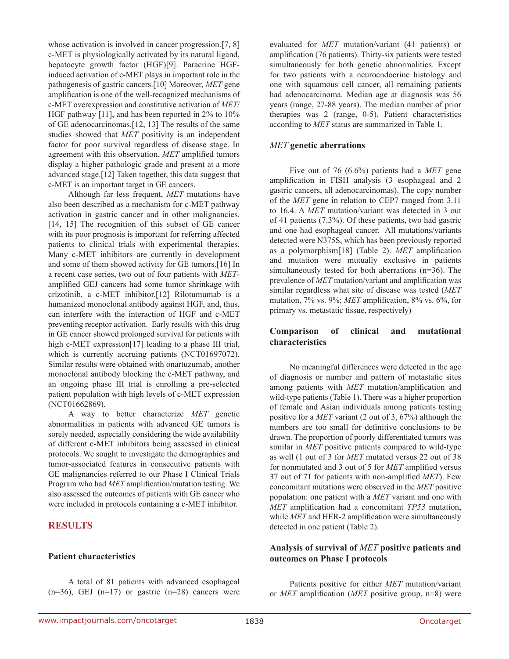whose activation is involved in cancer progression.[7, 8] c-MET is physiologically activated by its natural ligand, hepatocyte growth factor (HGF)[9]. Paracrine HGFinduced activation of c-MET plays in important role in the pathogenesis of gastric cancers.[10] Moreover, *MET* gene amplification is one of the well-recognized mechanisms of c-MET overexpression and constitutive activation of *MET*/ HGF pathway [11], and has been reported in 2% to 10% of GE adenocarcinomas.[12, 13] The results of the same studies showed that *MET* positivity is an independent factor for poor survival regardless of disease stage. In agreement with this observation, *MET* amplified tumors display a higher pathologic grade and present at a more advanced stage.[12] Taken together, this data suggest that c-MET is an important target in GE cancers.

Although far less frequent, *MET* mutations have also been described as a mechanism for c-MET pathway activation in gastric cancer and in other malignancies. [14, 15] The recognition of this subset of GE cancer with its poor prognosis is important for referring affected patients to clinical trials with experimental therapies. Many c-MET inhibitors are currently in development and some of them showed activity for GE tumors.[16] In a recent case series, two out of four patients with *MET*amplified GEJ cancers had some tumor shrinkage with crizotinib, a c-MET inhibitor.[12] Rilotumumab is a humanized monoclonal antibody against HGF, and, thus, can interfere with the interaction of HGF and c-MET preventing receptor activation. Early results with this drug in GE cancer showed prolonged survival for patients with high c-MET expression[17] leading to a phase III trial, which is currently accruing patients (NCT01697072). Similar results were obtained with onartuzumab, another monoclonal antibody blocking the c-MET pathway, and an ongoing phase III trial is enrolling a pre-selected patient population with high levels of c-MET expression (NCT01662869).

A way to better characterize *MET* genetic abnormalities in patients with advanced GE tumors is sorely needed, especially considering the wide availability of different c-MET inhibitors being assessed in clinical protocols. We sought to investigate the demographics and tumor-associated features in consecutive patients with GE malignancies referred to our Phase I Clinical Trials Program who had *MET* amplification/mutation testing. We also assessed the outcomes of patients with GE cancer who were included in protocols containing a c-MET inhibitor.

# **RESULTS**

# **Patient characteristics**

A total of 81 patients with advanced esophageal  $(n=36)$ , GEJ  $(n=17)$  or gastric  $(n=28)$  cancers were evaluated for *MET* mutation/variant (41 patients) or amplification (76 patients). Thirty-six patients were tested simultaneously for both genetic abnormalities. Except for two patients with a neuroendocrine histology and one with squamous cell cancer, all remaining patients had adenocarcinoma. Median age at diagnosis was 56 years (range, 27-88 years). The median number of prior therapies was 2 (range, 0-5). Patient characteristics according to *MET* status are summarized in Table 1.

## *MET* **genetic aberrations**

Five out of 76 (6.6%) patients had a *MET* gene amplification in FISH analysis (3 esophageal and 2 gastric cancers, all adenocarcinomas). The copy number of the *MET* gene in relation to CEP7 ranged from 3.11 to 16.4. A *MET* mutation/variant was detected in 3 out of 41 patients (7.3%). Of these patients, two had gastric and one had esophageal cancer. All mutations/variants detected were N375S, which has been previously reported as a polymorphism[18] (Table 2). *MET* amplification and mutation were mutually exclusive in patients simultaneously tested for both aberrations (n=36). The prevalence of *MET* mutation/variant and amplification was similar regardless what site of disease was tested (*MET* mutation, 7% vs. 9%; *MET* amplification, 8% vs. 6%, for primary vs. metastatic tissue, respectively)

# **Comparison of clinical and mutational characteristics**

No meaningful differences were detected in the age of diagnosis or number and pattern of metastatic sites among patients with *MET* mutation/amplification and wild-type patients (Table 1). There was a higher proportion of female and Asian individuals among patients testing positive for a *MET* variant (2 out of 3, 67%) although the numbers are too small for definitive conclusions to be drawn. The proportion of poorly differentiated tumors was similar in *MET* positive patients compared to wild-type as well (1 out of 3 for *MET* mutated versus 22 out of 38 for nonmutated and 3 out of 5 for *MET* amplified versus 37 out of 71 for patients with non-amplified *MET*). Few concomitant mutations were observed in the *MET* positive population: one patient with a *MET* variant and one with *MET* amplification had a concomitant *TP53* mutation, while *MET* and HER-2 amplification were simultaneously detected in one patient (Table 2).

# **Analysis of survival of** *MET* **positive patients and outcomes on Phase I protocols**

Patients positive for either *MET* mutation/variant or *MET* amplification (*MET* positive group, n=8) were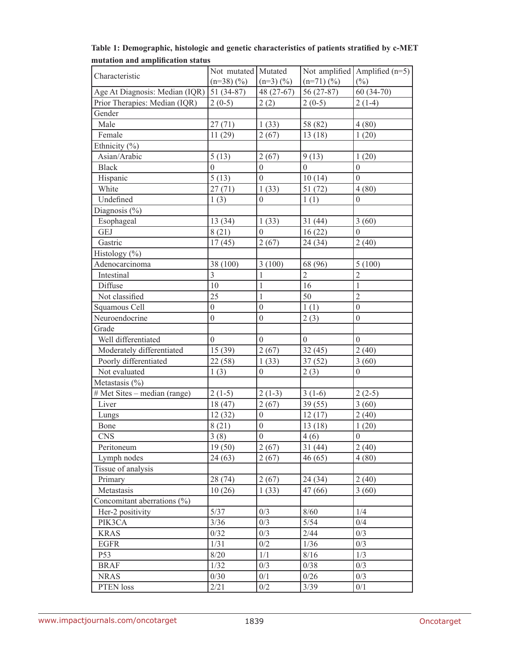|                                             | Not mutated   Mutated |                  |                | Not amplified $\text{Amplified (n=5)}$ |
|---------------------------------------------|-----------------------|------------------|----------------|----------------------------------------|
| Characteristic                              | $(n=38)$ $(\%)$       | $(n=3)(\%)$      | $(n=71)$ (%)   | $(\%)$                                 |
| Age At Diagnosis: Median $(IQR)$ 51 (34-87) |                       | 48 (27-67)       | 56 (27-87)     | $60(34-70)$                            |
| Prior Therapies: Median (IQR)               | $2(0-5)$              | 2(2)             | $2(0-5)$       | $2(1-4)$                               |
| Gender                                      |                       |                  |                |                                        |
| Male                                        | 27(71)                | 1(33)            | 58 (82)        | 4(80)                                  |
| Female                                      | 11(29)                | 2(67)            | 13(18)         | 1(20)                                  |
| Ethnicity (%)                               |                       |                  |                |                                        |
| Asian/Arabic                                | 5(13)                 | 2(67)            | 9(13)          | 1(20)                                  |
| <b>Black</b>                                | $\overline{0}$        | $\overline{0}$   | $\overline{0}$ | $\mathbf{0}$                           |
| Hispanic                                    | 5(13)                 | $\boldsymbol{0}$ | 10(14)         | $\overline{0}$                         |
| White                                       | 27(71)                | 1(33)            | 51(72)         | 4(80)                                  |
| Undefined                                   | 1(3)                  | $\overline{0}$   | 1(1)           | $\boldsymbol{0}$                       |
| Diagnosis (%)                               |                       |                  |                |                                        |
| Esophageal                                  | 13(34)                | 1(33)            | 31(44)         | 3(60)                                  |
| <b>GEJ</b>                                  | 8(21)                 | $\overline{0}$   | 16(22)         | $\theta$                               |
| Gastric                                     | 17(45)                | 2(67)            | 24 (34)        | 2(40)                                  |
| Histology (%)                               |                       |                  |                |                                        |
| Adenocarcinoma                              | 38 (100)              | 3(100)           | 68 (96)        | 5(100)                                 |
| Intestinal                                  | $\overline{3}$        | $\mathbf{1}$     | $\overline{2}$ | $\overline{2}$                         |
| Diffuse                                     | 10                    | $\mathbf{1}$     | 16             | $\mathbf{1}$                           |
| Not classified                              | 25                    | $\mathbf{1}$     | 50             | $\overline{2}$                         |
| Squamous Cell                               | $\boldsymbol{0}$      | $\boldsymbol{0}$ | 1(1)           | $\boldsymbol{0}$                       |
| Neuroendocrine                              | $\mathbf{0}$          | $\boldsymbol{0}$ | 2(3)           | $\mathbf{0}$                           |
| Grade                                       |                       |                  |                |                                        |
| Well differentiated                         | $\theta$              | $\boldsymbol{0}$ | $\theta$       | $\boldsymbol{0}$                       |
| Moderately differentiated                   | 15(39)                | 2(67)            | 32(45)         | 2(40)                                  |
| Poorly differentiated                       | 22 (58)               | 1(33)            | 37(52)         | 3(60)                                  |
| Not evaluated                               | 1(3)                  | $\boldsymbol{0}$ | 2(3)           | $\boldsymbol{0}$                       |
| Metastasis $(\%)$                           |                       |                  |                |                                        |
| # Met Sites - median (range)                | $2(1-5)$              | $2(1-3)$         | $3(1-6)$       | $2(2-5)$                               |
| Liver                                       | 18(47)                | 2(67)            | 39(55)         | 3(60)                                  |
| Lungs                                       | 12(32)                | $\boldsymbol{0}$ | 12(17)         | 2(40)                                  |
| Bone                                        | 8(21)                 | $\boldsymbol{0}$ | 13(18)         | 1(20)                                  |
| <b>CNS</b>                                  | 3(8)                  | $\overline{0}$   | 4(6)           | $\overline{0}$                         |
| Peritoneum                                  | 19(50)                | 2(67)            | 31(44)         | 2(40)                                  |
| Lymph nodes                                 | 24(63)                | 2(67)            | 46(65)         | 4(80)                                  |
| Tissue of analysis                          |                       |                  |                |                                        |
| Primary                                     | 28 (74)               | 2(67)            | 24 (34)        | 2(40)                                  |
| Metastasis                                  | 10(26)                | 1(33)            | 47 (66)        | 3(60)                                  |
| Concomitant aberrations (%)                 |                       |                  |                |                                        |
| Her-2 positivity                            | 5/37                  | 0/3              | 8/60           | 1/4                                    |
| PIK3CA                                      | $3/36$                | 0/3              | $5/54$         | 0/4                                    |
| <b>KRAS</b>                                 | 0/32                  | 0/3              | 2/44           | 0/3                                    |
| <b>EGFR</b>                                 | 1/31                  | 0/2              | 1/36           | 0/3                                    |
| P53                                         | 8/20                  | 1/1              | $8/16$         | 1/3                                    |
| <b>BRAF</b>                                 | 1/32                  | 0/3              | 0/38           | 0/3                                    |
| <b>NRAS</b>                                 | 0/30                  | 0/1              | 0/26           | 0/3                                    |
| PTEN loss                                   | 2/21                  | $0/2\,$          | 3/39           | 0/1                                    |
|                                             |                       |                  |                |                                        |

**Table 1: Demographic, histologic and genetic characteristics of patients stratified by c-MET mutation and amplification status**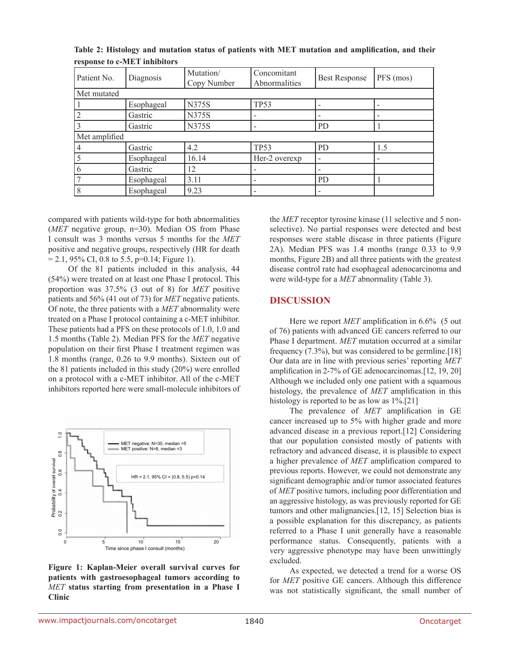| Patient No.   | Diagnosis  | Mutation/<br>Copy Number | Concomitant<br>Abnormalities | <b>Best Response</b> | PFS (mos) |  |  |  |
|---------------|------------|--------------------------|------------------------------|----------------------|-----------|--|--|--|
| Met mutated   |            |                          |                              |                      |           |  |  |  |
|               | Esophageal | <b>N375S</b>             | <b>TP53</b>                  |                      |           |  |  |  |
|               | Gastric    | N375S                    |                              |                      |           |  |  |  |
|               | Gastric    | N375S                    |                              | <b>PD</b>            |           |  |  |  |
| Met amplified |            |                          |                              |                      |           |  |  |  |
|               | Gastric    | 4.2                      | TP <sub>53</sub>             | PD                   | 1.5       |  |  |  |
|               | Esophageal | 16.14                    | Her-2 overexp                |                      |           |  |  |  |
|               | Gastric    | 12                       |                              |                      |           |  |  |  |
|               | Esophageal | 3.11                     |                              | P <sub>D</sub>       |           |  |  |  |
|               | Esophageal | 9.23                     |                              |                      |           |  |  |  |

**Table 2: Histology and mutation status of patients with MET mutation and amplification, and their response to c-MET inhibitors** 

compared with patients wild-type for both abnormalities (*MET* negative group, n=30). Median OS from Phase I consult was 3 months versus 5 months for the *MET* positive and negative groups, respectively (HR for death  $= 2.1, 95\% \text{ CI}, 0.8 \text{ to } 5.5, \text{p=0.14}; \text{Figure 1}.$ 

Of the 81 patients included in this analysis, 44 (54%) were treated on at least one Phase I protocol. This proportion was 37.5% (3 out of 8) for *MET* positive patients and 56% (41 out of 73) for *MET* negative patients. Of note, the three patients with a *MET* abnormality were treated on a Phase I protocol containing a c-MET inhibitor. These patients had a PFS on these protocols of 1.0, 1.0 and 1.5 months (Table 2). Median PFS for the *MET* negative population on their first Phase I treatment regimen was 1.8 months (range, 0.26 to 9.9 months). Sixteen out of the 81 patients included in this study (20%) were enrolled on a protocol with a c-MET inhibitor. All of the c-MET inhibitors reported here were small-molecule inhibitors of



**Figure 1: Kaplan-Meier overall survival curves for patients with gastroesophageal tumors according to**  *MET* **status starting from presentation in a Phase I Clinic**

the *MET* receptor tyrosine kinase (11 selective and 5 nonselective). No partial responses were detected and best responses were stable disease in three patients (Figure 2A). Median PFS was 1.4 months (range 0.33 to 9.9 months, Figure 2B) and all three patients with the greatest disease control rate had esophageal adenocarcinoma and were wild-type for a *MET* abnormality (Table 3).

# **DISCUSSION**

Here we report *MET* amplification in 6.6% (5 out of 76) patients with advanced GE cancers referred to our Phase I department. *MET* mutation occurred at a similar frequency  $(7.3\%)$ , but was considered to be germline. [18] Our data are in line with previous series' reporting *MET* amplification in 2-7% of GE adenocarcinomas.[12, 19, 20] Although we included only one patient with a squamous histology, the prevalence of *MET* amplification in this histology is reported to be as low as  $1\%$ .[21]

The prevalence of *MET* amplification in GE cancer increased up to 5% with higher grade and more advanced disease in a previous report.[12] Considering that our population consisted mostly of patients with refractory and advanced disease, it is plausible to expect a higher prevalence of *MET* amplification compared to previous reports. However, we could not demonstrate any significant demographic and/or tumor associated features of *MET* positive tumors, including poor differentiation and an aggressive histology, as was previously reported for GE tumors and other malignancies.[12, 15] Selection bias is a possible explanation for this discrepancy, as patients referred to a Phase I unit generally have a reasonable performance status. Consequently, patients with a very aggressive phenotype may have been unwittingly excluded.

As expected, we detected a trend for a worse OS for *MET* positive GE cancers. Although this difference was not statistically significant, the small number of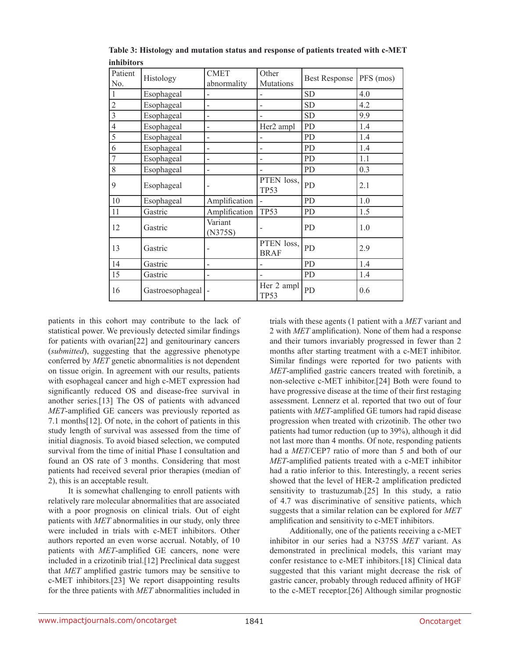| Patient<br>No. | Histology        | <b>CMET</b><br>abnormality | Other<br>Mutations        | <b>Best Response</b> | PFS (mos) |
|----------------|------------------|----------------------------|---------------------------|----------------------|-----------|
| $\vert$ 1      | Esophageal       |                            |                           | <b>SD</b>            | 4.0       |
| $\overline{c}$ | Esophageal       |                            |                           | <b>SD</b>            | 4.2       |
| $\overline{3}$ | Esophageal       | -                          |                           | <b>SD</b>            | 9.9       |
| $\overline{4}$ | Esophageal       | ۳                          | Her2 ampl                 | PD                   | 1.4       |
| 5              | Esophageal       |                            |                           | <b>PD</b>            | 1.4       |
| 6              | Esophageal       | -                          | ۰                         | PD                   | 1.4       |
| $\overline{7}$ | Esophageal       | -                          |                           | PD                   | 1.1       |
| 8              | Esophageal       |                            |                           | PD                   | 0.3       |
| 9              | Esophageal       |                            | PTEN loss,<br><b>TP53</b> | PD                   | 2.1       |
| 10             | Esophageal       | Amplification              |                           | PD                   | 1.0       |
| 11             | Gastric          | Amplification              | <b>TP53</b>               | PD                   | 1.5       |
| <sup>12</sup>  | Gastric          | Variant<br>(N375S)         |                           | PD                   | 1.0       |
| 13             | Gastric          |                            | PTEN loss,<br><b>BRAF</b> | PD                   | 2.9       |
| 14             | Gastric          | -                          | $\overline{\phantom{0}}$  | PD                   | 1.4       |
| 15             | Gastric          |                            |                           | PD                   | 1.4       |
| <sup>16</sup>  | Gastroesophageal |                            | Her 2 ampl<br><b>TP53</b> | PD                   | 0.6       |

**Table 3: Histology and mutation status and response of patients treated with c-MET inhibitors**

patients in this cohort may contribute to the lack of statistical power. We previously detected similar findings for patients with ovarian[22] and genitourinary cancers (*submitted*), suggesting that the aggressive phenotype conferred by *MET* genetic abnormalities is not dependent on tissue origin. In agreement with our results, patients with esophageal cancer and high c-MET expression had significantly reduced OS and disease-free survival in another series.[13] The OS of patients with advanced *MET*-amplified GE cancers was previously reported as 7.1 months[12]. Of note, in the cohort of patients in this study length of survival was assessed from the time of initial diagnosis. To avoid biased selection, we computed survival from the time of initial Phase I consultation and found an OS rate of 3 months. Considering that most patients had received several prior therapies (median of 2), this is an acceptable result.

It is somewhat challenging to enroll patients with relatively rare molecular abnormalities that are associated with a poor prognosis on clinical trials. Out of eight patients with *MET* abnormalities in our study, only three were included in trials with c-MET inhibitors. Other authors reported an even worse accrual. Notably, of 10 patients with *MET*-amplified GE cancers, none were included in a crizotinib trial.[12] Preclinical data suggest that *MET* amplified gastric tumors may be sensitive to c-MET inhibitors.[23] We report disappointing results for the three patients with *MET* abnormalities included in trials with these agents (1 patient with a *MET* variant and 2 with *MET* amplification). None of them had a response and their tumors invariably progressed in fewer than 2 months after starting treatment with a c-MET inhibitor. Similar findings were reported for two patients with *MET*-amplified gastric cancers treated with foretinib, a non-selective c-MET inhibitor.[24] Both were found to have progressive disease at the time of their first restaging assessment. Lennerz et al. reported that two out of four patients with *MET*-amplified GE tumors had rapid disease progression when treated with crizotinib. The other two patients had tumor reduction (up to 39%), although it did not last more than 4 months. Of note, responding patients had a *MET*/CEP7 ratio of more than 5 and both of our *MET*-amplified patients treated with a c-MET inhibitor had a ratio inferior to this. Interestingly, a recent series showed that the level of HER-2 amplification predicted sensitivity to trastuzumab.[25] In this study, a ratio of 4.7 was discriminative of sensitive patients, which suggests that a similar relation can be explored for *MET* amplification and sensitivity to c-MET inhibitors.

Additionally, one of the patients receiving a c-MET inhibitor in our series had a N375S *MET* variant. As demonstrated in preclinical models, this variant may confer resistance to c-MET inhibitors.[18] Clinical data suggested that this variant might decrease the risk of gastric cancer, probably through reduced affinity of HGF to the c-MET receptor.[26] Although similar prognostic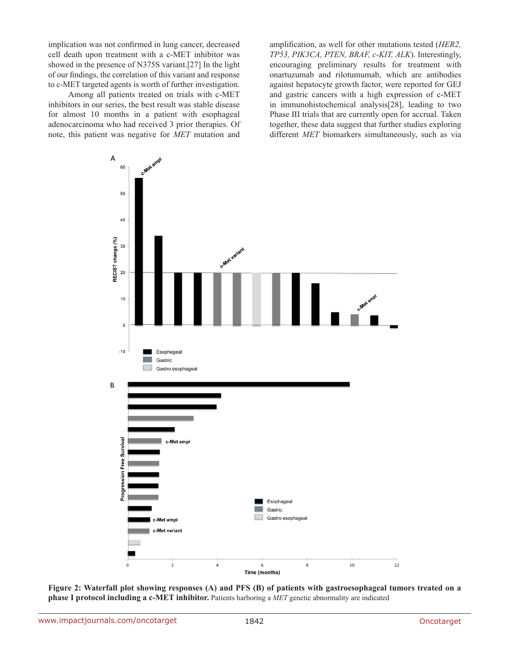implication was not confirmed in lung cancer, decreased cell death upon treatment with a c-MET inhibitor was showed in the presence of N375S variant.[27] In the light of our findings, the correlation of this variant and response to c-MET targeted agents is worth of further investigation.

Among all patients treated on trials with c-MET inhibitors in our series, the best result was stable disease for almost 10 months in a patient with esophageal adenocarcinoma who had received 3 prior therapies. Of note, this patient was negative for *MET* mutation and

amplification, as well for other mutations tested (*HER2, TP53, PIK3CA, PTEN, BRAF, c-KIT, ALK*). Interestingly, encouraging preliminary results for treatment with onartuzumab and rilotumumab, which are antibodies against hepatocyte growth factor, were reported for GEJ and gastric cancers with a high expression of c-MET in immunohistochemical analysis[28], leading to two Phase III trials that are currently open for accrual. Taken together, these data suggest that further studies exploring different *MET* biomarkers simultaneously, such as via



**Figure 2: Waterfall plot showing responses (A) and PFS (B) of patients with gastroesophageal tumors treated on a phase I protocol including a c-MET inhibitor.** Patients harboring a *MET* genetic abnormality are indicated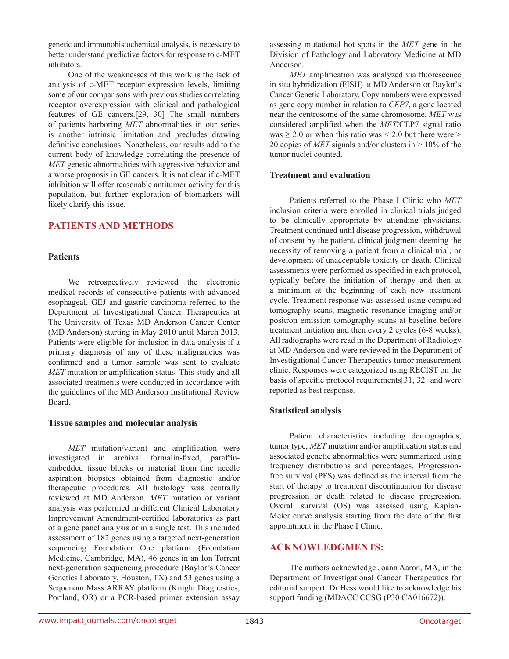genetic and immunohistochemical analysis, is necessary to better understand predictive factors for response to c-MET inhibitors.

One of the weaknesses of this work is the lack of analysis of c-MET receptor expression levels, limiting some of our comparisons with previous studies correlating receptor overexpression with clinical and pathological features of GE cancers.[29, 30] The small numbers of patients harboring *MET* abnormalities in our series is another intrinsic limitation and precludes drawing definitive conclusions. Nonetheless, our results add to the current body of knowledge correlating the presence of *MET* genetic abnormalities with aggressive behavior and a worse prognosis in GE cancers. It is not clear if c-MET inhibition will offer reasonable antitumor activity for this population, but further exploration of biomarkers will likely clarify this issue.

# **PATIENTS AND METHODS**

### **Patients**

We retrospectively reviewed the electronic medical records of consecutive patients with advanced esophageal, GEJ and gastric carcinoma referred to the Department of Investigational Cancer Therapeutics at The University of Texas MD Anderson Cancer Center (MD Anderson) starting in May 2010 until March 2013. Patients were eligible for inclusion in data analysis if a primary diagnosis of any of these malignancies was confirmed and a tumor sample was sent to evaluate *MET* mutation or amplification status. This study and all associated treatments were conducted in accordance with the guidelines of the MD Anderson Institutional Review Board.

### **Tissue samples and molecular analysis**

*MET* mutation/variant and amplification were investigated in archival formalin-fixed, paraffinembedded tissue blocks or material from fine needle aspiration biopsies obtained from diagnostic and/or therapeutic procedures. All histology was centrally reviewed at MD Anderson. *MET* mutation or variant analysis was performed in different Clinical Laboratory Improvement Amendment-certified laboratories as part of a gene panel analysis or in a single test. This included assessment of 182 genes using a targeted next-generation sequencing Foundation One platform (Foundation Medicine, Cambridge, MA), 46 genes in an Ion Torrent next-generation sequencing procedure (Baylor's Cancer Genetics Laboratory, Houston, TX) and 53 genes using a Sequenom Mass ARRAY platform (Knight Diagnostics, Portland, OR) or a PCR-based primer extension assay

assessing mutational hot spots in the *MET* gene in the Division of Pathology and Laboratory Medicine at MD Anderson.

*MET* amplification was analyzed via fluorescence in situ hybridization (FISH) at MD Anderson or Baylor`s Cancer Genetic Laboratory. Copy numbers were expressed as gene copy number in relation to *CEP7*, a gene located near the centrosome of the same chromosome. *MET* was considered amplified when the *MET*/CEP7 signal ratio was  $\geq$  2.0 or when this ratio was  $\leq$  2.0 but there were  $\geq$ 20 copies of *MET* signals and/or clusters in > 10% of the tumor nuclei counted.

### **Treatment and evaluation**

Patients referred to the Phase I Clinic who *MET* inclusion criteria were enrolled in clinical trials judged to be clinically appropriate by attending physicians. Treatment continued until disease progression, withdrawal of consent by the patient, clinical judgment deeming the necessity of removing a patient from a clinical trial, or development of unacceptable toxicity or death. Clinical assessments were performed as specified in each protocol, typically before the initiation of therapy and then at a minimum at the beginning of each new treatment cycle. Treatment response was assessed using computed tomography scans, magnetic resonance imaging and/or positron emission tomography scans at baseline before treatment initiation and then every 2 cycles (6-8 weeks). All radiographs were read in the Department of Radiology at MD Anderson and were reviewed in the Department of Investigational Cancer Therapeutics tumor measurement clinic. Responses were categorized using RECIST on the basis of specific protocol requirements[31, 32] and were reported as best response.

# **Statistical analysis**

Patient characteristics including demographics, tumor type, *MET* mutation and/or amplification status and associated genetic abnormalities were summarized using frequency distributions and percentages. Progressionfree survival (PFS) was defined as the interval from the start of therapy to treatment discontinuation for disease progression or death related to disease progression. Overall survival (OS) was assessed using Kaplan-Meier curve analysis starting from the date of the first appointment in the Phase I Clinic.

# **ACKNOWLEDGMENTS:**

The authors acknowledge Joann Aaron, MA, in the Department of Investigational Cancer Therapeutics for editorial support. Dr Hess would like to acknowledge his support funding (MDACC CCSG (P30 CA016672)).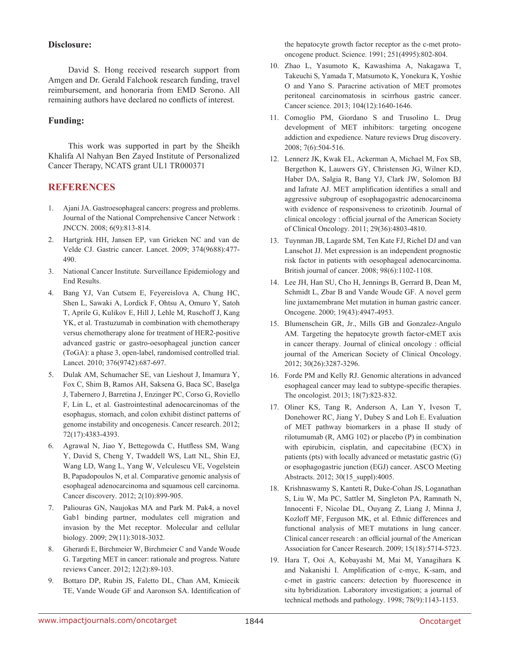## **Disclosure:**

David S. Hong received research support from Amgen and Dr. Gerald Falchook research funding, travel reimbursement, and honoraria from EMD Serono. All remaining authors have declared no conflicts of interest.

# **Funding:**

This work was supported in part by the Sheikh Khalifa Al Nahyan Ben Zayed Institute of Personalized Cancer Therapy, NCATS grant UL1 TR000371

# **REFERENCES**

- 1. Ajani JA. Gastroesophageal cancers: progress and problems. Journal of the National Comprehensive Cancer Network : JNCCN. 2008; 6(9):813-814.
- 2. Hartgrink HH, Jansen EP, van Grieken NC and van de Velde CJ. Gastric cancer. Lancet. 2009; 374(9688):477- 490.
- 3. National Cancer Institute. Surveillance Epidemiology and End Results.
- 4. Bang YJ, Van Cutsem E, Feyereislova A, Chung HC, Shen L, Sawaki A, Lordick F, Ohtsu A, Omuro Y, Satoh T, Aprile G, Kulikov E, Hill J, Lehle M, Ruschoff J, Kang YK, et al. Trastuzumab in combination with chemotherapy versus chemotherapy alone for treatment of HER2-positive advanced gastric or gastro-oesophageal junction cancer (ToGA): a phase 3, open-label, randomised controlled trial. Lancet. 2010; 376(9742):687-697.
- 5. Dulak AM, Schumacher SE, van Lieshout J, Imamura Y, Fox C, Shim B, Ramos AH, Saksena G, Baca SC, Baselga J, Tabernero J, Barretina J, Enzinger PC, Corso G, Roviello F, Lin L, et al. Gastrointestinal adenocarcinomas of the esophagus, stomach, and colon exhibit distinct patterns of genome instability and oncogenesis. Cancer research. 2012; 72(17):4383-4393.
- 6. Agrawal N, Jiao Y, Bettegowda C, Hutfless SM, Wang Y, David S, Cheng Y, Twaddell WS, Latt NL, Shin EJ, Wang LD, Wang L, Yang W, Velculescu VE, Vogelstein B, Papadopoulos N, et al. Comparative genomic analysis of esophageal adenocarcinoma and squamous cell carcinoma. Cancer discovery. 2012; 2(10):899-905.
- 7. Paliouras GN, Naujokas MA and Park M. Pak4, a novel Gab1 binding partner, modulates cell migration and invasion by the Met receptor. Molecular and cellular biology. 2009; 29(11):3018-3032.
- 8. Gherardi E, Birchmeier W, Birchmeier C and Vande Woude G. Targeting MET in cancer: rationale and progress. Nature reviews Cancer. 2012; 12(2):89-103.
- 9. Bottaro DP, Rubin JS, Faletto DL, Chan AM, Kmiecik TE, Vande Woude GF and Aaronson SA. Identification of

the hepatocyte growth factor receptor as the c-met protooncogene product. Science. 1991; 251(4995):802-804.

- 10. Zhao L, Yasumoto K, Kawashima A, Nakagawa T, Takeuchi S, Yamada T, Matsumoto K, Yonekura K, Yoshie O and Yano S. Paracrine activation of MET promotes peritoneal carcinomatosis in scirrhous gastric cancer. Cancer science. 2013; 104(12):1640-1646.
- 11. Comoglio PM, Giordano S and Trusolino L. Drug development of MET inhibitors: targeting oncogene addiction and expedience. Nature reviews Drug discovery. 2008; 7(6):504-516.
- 12. Lennerz JK, Kwak EL, Ackerman A, Michael M, Fox SB, Bergethon K, Lauwers GY, Christensen JG, Wilner KD, Haber DA, Salgia R, Bang YJ, Clark JW, Solomon BJ and Iafrate AJ. MET amplification identifies a small and aggressive subgroup of esophagogastric adenocarcinoma with evidence of responsiveness to crizotinib. Journal of clinical oncology : official journal of the American Society of Clinical Oncology. 2011; 29(36):4803-4810.
- 13. Tuynman JB, Lagarde SM, Ten Kate FJ, Richel DJ and van Lanschot JJ. Met expression is an independent prognostic risk factor in patients with oesophageal adenocarcinoma. British journal of cancer. 2008; 98(6):1102-1108.
- 14. Lee JH, Han SU, Cho H, Jennings B, Gerrard B, Dean M, Schmidt L, Zbar B and Vande Woude GF. A novel germ line juxtamembrane Met mutation in human gastric cancer. Oncogene. 2000; 19(43):4947-4953.
- 15. Blumenschein GR, Jr., Mills GB and Gonzalez-Angulo AM. Targeting the hepatocyte growth factor-cMET axis in cancer therapy. Journal of clinical oncology : official journal of the American Society of Clinical Oncology. 2012; 30(26):3287-3296.
- 16. Forde PM and Kelly RJ. Genomic alterations in advanced esophageal cancer may lead to subtype-specific therapies. The oncologist. 2013; 18(7):823-832.
- 17. Oliner KS, Tang R, Anderson A, Lan Y, Iveson T, Donehower RC, Jiang Y, Dubey S and Loh E. Evaluation of MET pathway biomarkers in a phase II study of rilotumumab (R, AMG 102) or placebo (P) in combination with epirubicin, cisplatin, and capecitabine (ECX) in patients (pts) with locally advanced or metastatic gastric (G) or esophagogastric junction (EGJ) cancer. ASCO Meeting Abstracts. 2012; 30(15\_suppl):4005.
- 18. Krishnaswamy S, Kanteti R, Duke-Cohan JS, Loganathan S, Liu W, Ma PC, Sattler M, Singleton PA, Ramnath N, Innocenti F, Nicolae DL, Ouyang Z, Liang J, Minna J, Kozloff MF, Ferguson MK, et al. Ethnic differences and functional analysis of MET mutations in lung cancer. Clinical cancer research : an official journal of the American Association for Cancer Research. 2009; 15(18):5714-5723.
- 19. Hara T, Ooi A, Kobayashi M, Mai M, Yanagihara K and Nakanishi I. Amplification of c-myc, K-sam, and c-met in gastric cancers: detection by fluorescence in situ hybridization. Laboratory investigation; a journal of technical methods and pathology. 1998; 78(9):1143-1153.